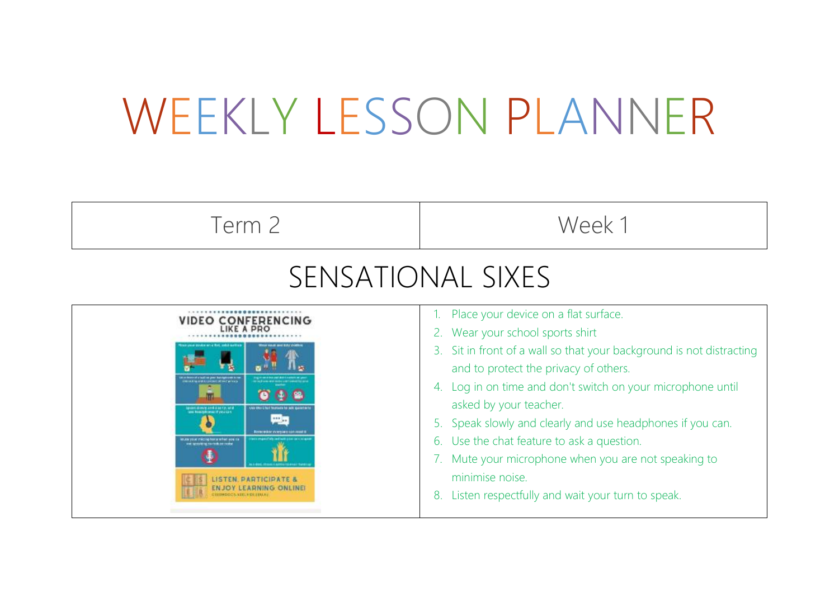## WEEKLY LESSON PLANNER

| Term 2                                                                                                                                                                                                                                                                                       | Week 1                                                                                                                                                                                                                                                                                                                                                                                                                                                                                                                           |
|----------------------------------------------------------------------------------------------------------------------------------------------------------------------------------------------------------------------------------------------------------------------------------------------|----------------------------------------------------------------------------------------------------------------------------------------------------------------------------------------------------------------------------------------------------------------------------------------------------------------------------------------------------------------------------------------------------------------------------------------------------------------------------------------------------------------------------------|
| SENSATIONAL SIXES                                                                                                                                                                                                                                                                            |                                                                                                                                                                                                                                                                                                                                                                                                                                                                                                                                  |
| <b>VIDEO CONFERENCING</b><br><b>MILLER OF ALCOHOL: IN THE WITHIN</b><br>Special closely and clearly, and<br>111.00<br><b>Every with Cyrry and Galleries</b><br>6.88 your microphone when you to<br><b>ISTEN PARTICIPATE &amp;</b><br>NJOY LEARNING ONLINEI<br><b>JEDHOOCS VEELS DI LEALS</b> | Place your device on a flat surface.<br>2. Wear your school sports shirt<br>3. Sit in front of a wall so that your background is not distracting<br>and to protect the privacy of others.<br>4. Log in on time and don't switch on your microphone until<br>asked by your teacher.<br>5. Speak slowly and clearly and use headphones if you can.<br>6. Use the chat feature to ask a question.<br>Mute your microphone when you are not speaking to<br>minimise noise.<br>Listen respectfully and wait your turn to speak.<br>8. |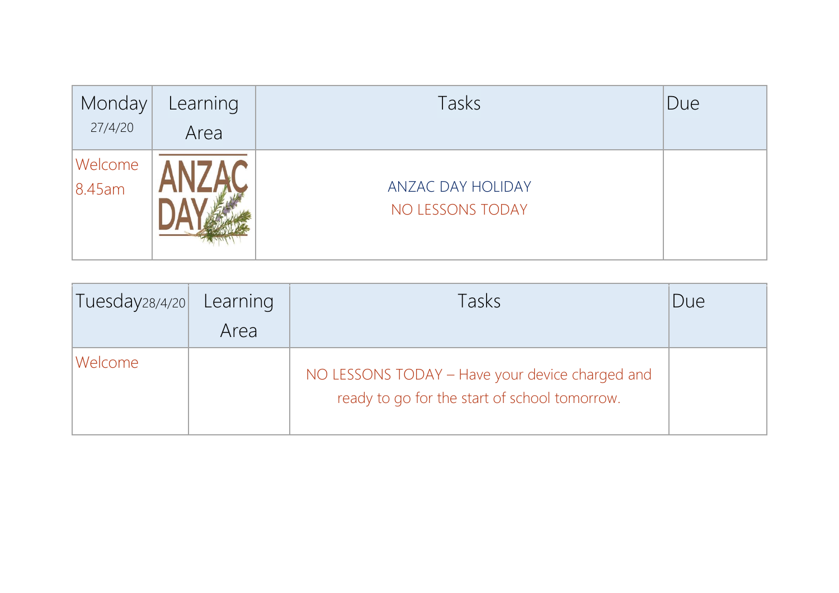| Monday<br>27/4/20    | Learning<br>Area | Tasks                                 | Due |
|----------------------|------------------|---------------------------------------|-----|
| Welcome<br>$8.45$ am |                  | ANZAC DAY HOLIDAY<br>NO LESSONS TODAY |     |

| Tuesday28/4/20 | Learning<br>Area | Tasks                                                                                            | Due |
|----------------|------------------|--------------------------------------------------------------------------------------------------|-----|
| Welcome        |                  | NO LESSONS TODAY - Have your device charged and<br>ready to go for the start of school tomorrow. |     |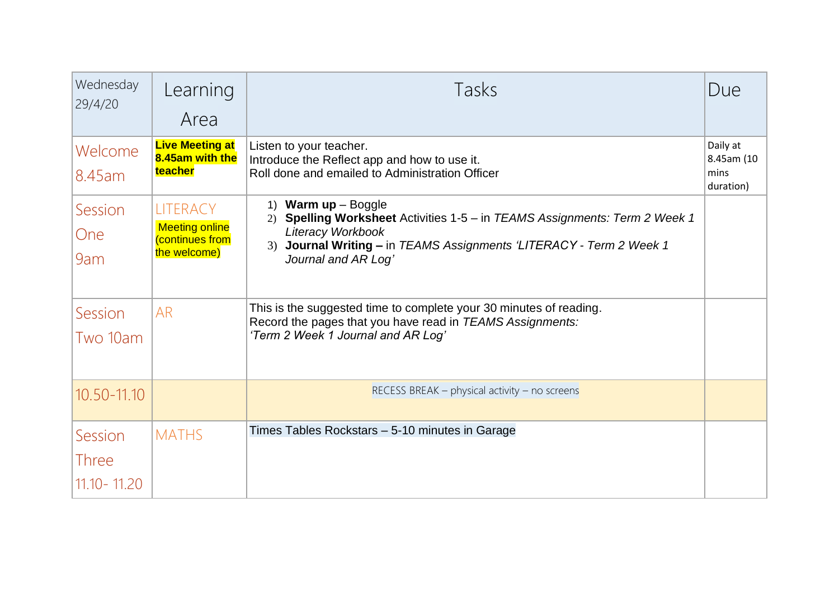| Wednesday<br>29/4/20                     | Learning<br>Area                                                            | Tasks                                                                                                                                                                                                                            | Due                                         |
|------------------------------------------|-----------------------------------------------------------------------------|----------------------------------------------------------------------------------------------------------------------------------------------------------------------------------------------------------------------------------|---------------------------------------------|
| Welcome<br>8.45am                        | <b>Live Meeting at</b><br>8.45am with the<br>teacher                        | Listen to your teacher.<br>Introduce the Reflect app and how to use it.<br>Roll done and emailed to Administration Officer                                                                                                       | Daily at<br>8.45am (10<br>mins<br>duration) |
| Session<br><b>One</b><br>9am             | <b>LITERACY</b><br><b>Meeting online</b><br>(continues from<br>the welcome) | 1) Warm $up - Boggle$<br><b>Spelling Worksheet</b> Activities 1-5 – in TEAMS Assignments: Term 2 Week 1<br>2)<br>Literacy Workbook<br>3) Journal Writing - in TEAMS Assignments 'LITERACY - Term 2 Week 1<br>Journal and AR Log' |                                             |
| Session<br>Two 10am                      | <b>AR</b>                                                                   | This is the suggested time to complete your 30 minutes of reading.<br>Record the pages that you have read in TEAMS Assignments:<br>'Term 2 Week 1 Journal and AR Log'                                                            |                                             |
| 10.50-11.10                              |                                                                             | RECESS BREAK - physical activity - no screens                                                                                                                                                                                    |                                             |
| Session<br><b>Three</b><br>11.10 - 11.20 | <b>MATHS</b>                                                                | Times Tables Rockstars – 5-10 minutes in Garage                                                                                                                                                                                  |                                             |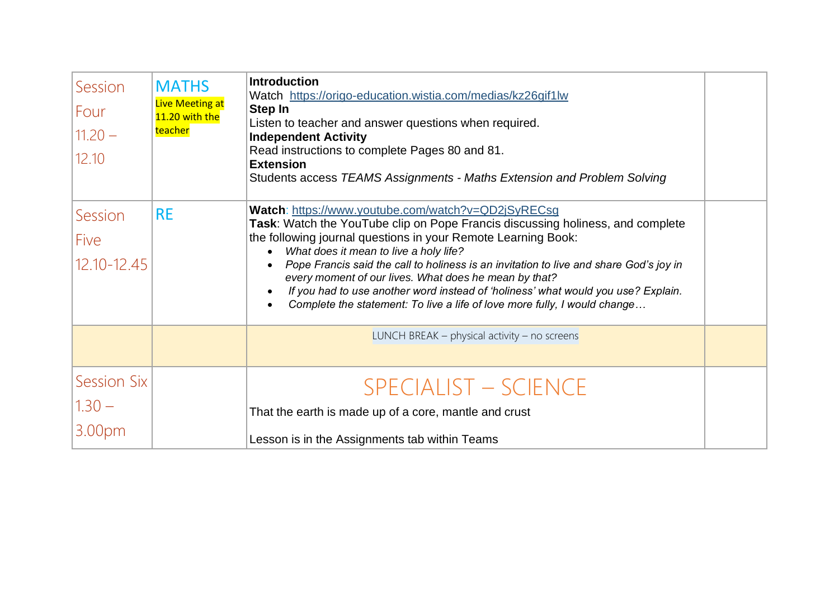| Session<br>Four<br>$11.20 -$<br>12.10    | <b>MATHS</b><br><b>Live Meeting at</b><br>11.20 with the<br>teacher | <b>Introduction</b><br>Watch https://origo-education.wistia.com/medias/kz26gif1lw<br>Step In<br>Listen to teacher and answer questions when required.<br><b>Independent Activity</b><br>Read instructions to complete Pages 80 and 81.<br><b>Extension</b><br>Students access TEAMS Assignments - Maths Extension and Problem Solving                                                                                                                                                                                                                                                                       |  |
|------------------------------------------|---------------------------------------------------------------------|-------------------------------------------------------------------------------------------------------------------------------------------------------------------------------------------------------------------------------------------------------------------------------------------------------------------------------------------------------------------------------------------------------------------------------------------------------------------------------------------------------------------------------------------------------------------------------------------------------------|--|
| Session<br>Five<br>$12.10 - 12.45$       | <b>RE</b>                                                           | Watch: https://www.youtube.com/watch?v=QD2jSyRECsg<br>Task: Watch the YouTube clip on Pope Francis discussing holiness, and complete<br>the following journal questions in your Remote Learning Book:<br>What does it mean to live a holy life?<br>Pope Francis said the call to holiness is an invitation to live and share God's joy in<br>$\bullet$<br>every moment of our lives. What does he mean by that?<br>If you had to use another word instead of 'holiness' what would you use? Explain.<br>$\bullet$<br>Complete the statement: To live a life of love more fully, I would change<br>$\bullet$ |  |
|                                          |                                                                     | LUNCH BREAK $-$ physical activity $-$ no screens                                                                                                                                                                                                                                                                                                                                                                                                                                                                                                                                                            |  |
| <b>Session Six</b><br>$1.30 -$<br>3.00pm |                                                                     | <b>SPECIALIST - SCIENCE</b><br>That the earth is made up of a core, mantle and crust<br>Lesson is in the Assignments tab within Teams                                                                                                                                                                                                                                                                                                                                                                                                                                                                       |  |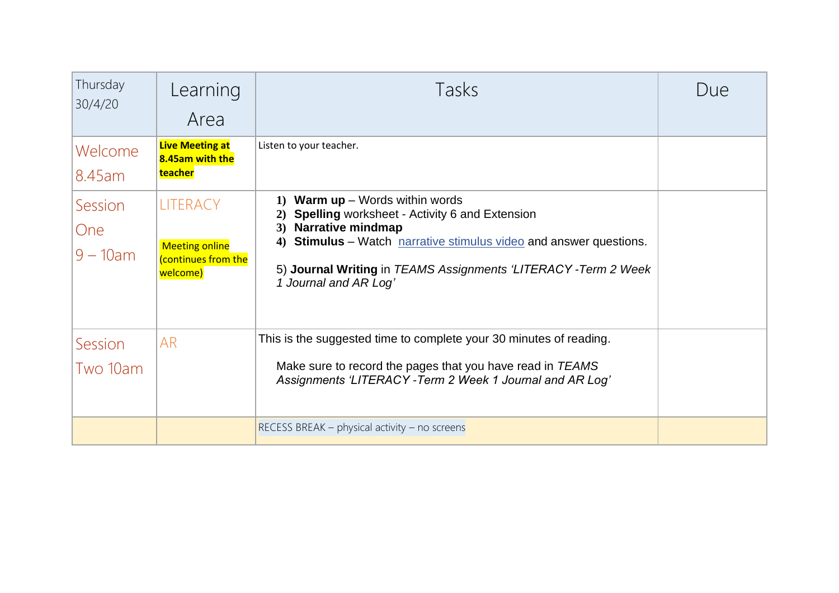| Thursday<br>30/4/20                  | Learning<br>Area                                                           | Tasks                                                                                                                                                                                                                                                                                                        | Due |
|--------------------------------------|----------------------------------------------------------------------------|--------------------------------------------------------------------------------------------------------------------------------------------------------------------------------------------------------------------------------------------------------------------------------------------------------------|-----|
| Welcome<br>8.45am                    | <b>Live Meeting at</b><br>8.45am with the<br>teacher                       | Listen to your teacher.                                                                                                                                                                                                                                                                                      |     |
| Session<br><b>One</b><br>$9 - 10$ am | <b>LITERACY</b><br><b>Meeting online</b><br>continues from the<br>welcome) | <b>Warm up</b> $-$ Words within words<br>$\bf{1}$<br>Spelling worksheet - Activity 6 and Extension<br>2)<br><b>Narrative mindmap</b><br>3)<br>4) Stimulus - Watch narrative stimulus video and answer questions.<br>5) Journal Writing in TEAMS Assignments 'LITERACY - Term 2 Week<br>1 Journal and AR Log' |     |
| Session<br>Two 10am                  | <b>AR</b>                                                                  | This is the suggested time to complete your 30 minutes of reading.<br>Make sure to record the pages that you have read in TEAMS<br>Assignments 'LITERACY - Term 2 Week 1 Journal and AR Log'                                                                                                                 |     |
|                                      |                                                                            | RECESS BREAK – physical activity – no screens                                                                                                                                                                                                                                                                |     |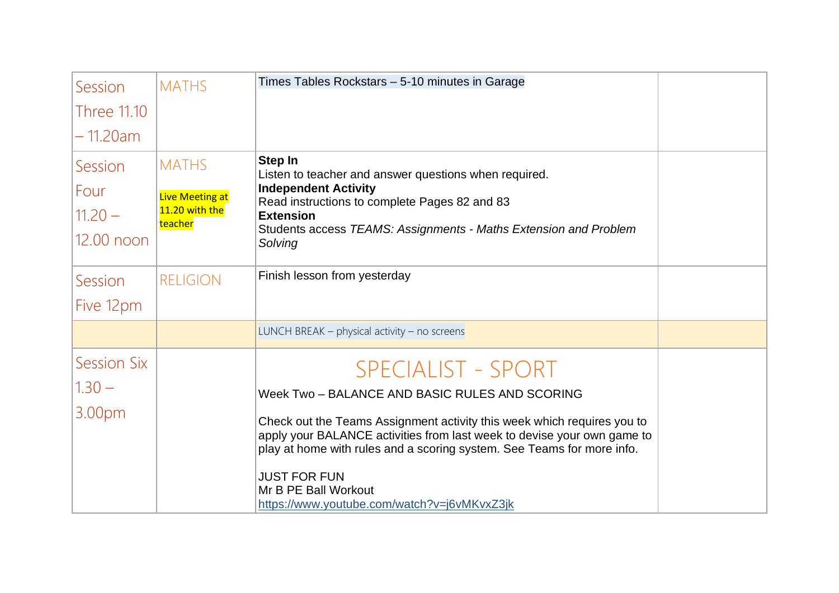| Session            | <b>MATHS</b>              | Times Tables Rockstars - 5-10 minutes in Garage                                                                                                                                                                                                                                                                            |  |
|--------------------|---------------------------|----------------------------------------------------------------------------------------------------------------------------------------------------------------------------------------------------------------------------------------------------------------------------------------------------------------------------|--|
| <b>Three 11.10</b> |                           |                                                                                                                                                                                                                                                                                                                            |  |
| – 11.20am          |                           |                                                                                                                                                                                                                                                                                                                            |  |
| Session            | <b>MATHS</b>              | Step In<br>Listen to teacher and answer questions when required.                                                                                                                                                                                                                                                           |  |
| Four               | <b>Live Meeting at</b>    | <b>Independent Activity</b>                                                                                                                                                                                                                                                                                                |  |
| $11.20 -$          | 11.20 with the<br>teacher | Read instructions to complete Pages 82 and 83<br><b>Extension</b>                                                                                                                                                                                                                                                          |  |
| 12.00 noon         |                           | Students access TEAMS: Assignments - Maths Extension and Problem<br>Solving                                                                                                                                                                                                                                                |  |
| Session            | <b>RELIGION</b>           | Finish lesson from yesterday                                                                                                                                                                                                                                                                                               |  |
| Five 12pm          |                           |                                                                                                                                                                                                                                                                                                                            |  |
|                    |                           | LUNCH BREAK $-$ physical activity $-$ no screens                                                                                                                                                                                                                                                                           |  |
| <b>Session Six</b> |                           | <b>SPECIALIST - SPORT</b>                                                                                                                                                                                                                                                                                                  |  |
| $1.30 -$           |                           | Week Two - BALANCE AND BASIC RULES AND SCORING                                                                                                                                                                                                                                                                             |  |
| 3.00pm             |                           | Check out the Teams Assignment activity this week which requires you to<br>apply your BALANCE activities from last week to devise your own game to<br>play at home with rules and a scoring system. See Teams for more info.<br><b>JUST FOR FUN</b><br>Mr B PE Ball Workout<br>https://www.youtube.com/watch?v=j6vMKvxZ3jk |  |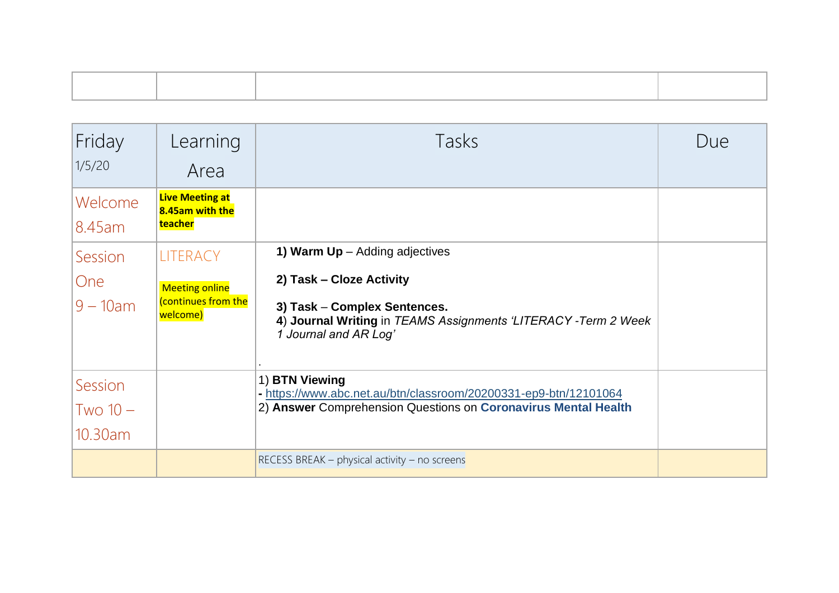| Friday<br>1/5/20                     | Learning<br>Area                                                           | Tasks                                                                                                                                                                                    | Due |
|--------------------------------------|----------------------------------------------------------------------------|------------------------------------------------------------------------------------------------------------------------------------------------------------------------------------------|-----|
| Welcome<br>8.45am                    | <b>Live Meeting at</b><br>8.45am with the<br>teacher                       |                                                                                                                                                                                          |     |
| Session<br><b>One</b><br>$9 - 10$ am | <b>LITERACY</b><br><b>Meeting online</b><br>continues from the<br>welcome) | 1) Warm $Up -$ Adding adjectives<br>2) Task - Cloze Activity<br>3) Task - Complex Sentences.<br>4) Journal Writing in TEAMS Assignments 'LITERACY - Term 2 Week<br>1 Journal and AR Log' |     |
| Session<br>$Two 10 -$<br>10.30am     |                                                                            | 1) BTN Viewing<br>- https://www.abc.net.au/btn/classroom/20200331-ep9-btn/12101064<br>2) Answer Comprehension Questions on Coronavirus Mental Health                                     |     |
|                                      |                                                                            | RECESS BREAK – physical activity – no screens                                                                                                                                            |     |